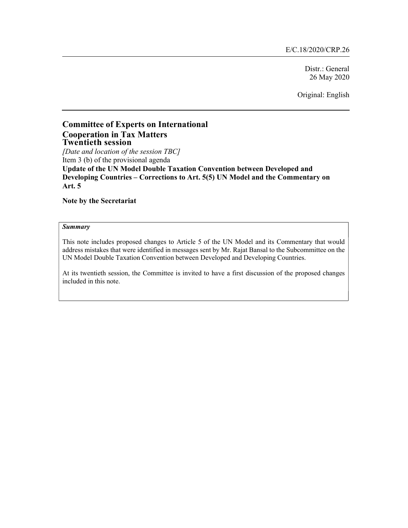Distr.: General 26 May 2020

Original: English

# Committee of Experts on International Cooperation in Tax Matters Twentieth session

[Date and location of the session TBC] Item 3 (b) of the provisional agenda Update of the UN Model Double Taxation Convention between Developed and Developing Countries – Corrections to Art. 5(5) UN Model and the Commentary on Art. 5

#### Note by the Secretariat

#### Summary

This note includes proposed changes to Article 5 of the UN Model and its Commentary that would address mistakes that were identified in messages sent by Mr. Rajat Bansal to the Subcommittee on the UN Model Double Taxation Convention between Developed and Developing Countries.

At its twentieth session, the Committee is invited to have a first discussion of the proposed changes included in this note.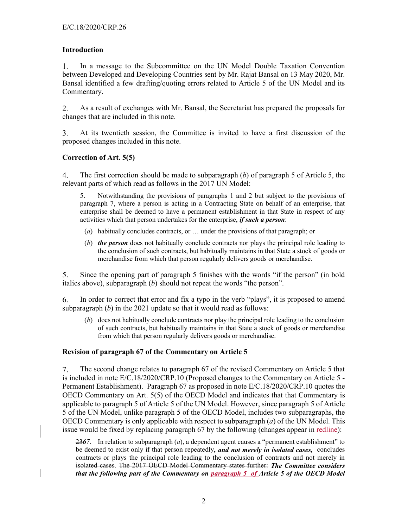# Introduction

In a message to the Subcommittee on the UN Model Double Taxation Convention  $1.$ between Developed and Developing Countries sent by Mr. Rajat Bansal on 13 May 2020, Mr. Bansal identified a few drafting/quoting errors related to Article 5 of the UN Model and its Commentary.

 $2.$ As a result of exchanges with Mr. Bansal, the Secretariat has prepared the proposals for changes that are included in this note.

3. At its twentieth session, the Committee is invited to have a first discussion of the proposed changes included in this note.

## Correction of Art. 5(5)

 $4.$ The first correction should be made to subparagraph  $(b)$  of paragraph 5 of Article 5, the relevant parts of which read as follows in the 2017 UN Model:

5. Notwithstanding the provisions of paragraphs 1 and 2 but subject to the provisions of paragraph 7, where a person is acting in a Contracting State on behalf of an enterprise, that enterprise shall be deemed to have a permanent establishment in that State in respect of any activities which that person undertakes for the enterprise,  $if such a person:$ 

- (a) habitually concludes contracts, or … under the provisions of that paragraph; or
- (b) **the person** does not habitually conclude contracts nor plays the principal role leading to the conclusion of such contracts, but habitually maintains in that State a stock of goods or merchandise from which that person regularly delivers goods or merchandise.

5. Since the opening part of paragraph 5 finishes with the words "if the person" (in bold italics above), subparagraph  $(b)$  should not repeat the words "the person".

In order to correct that error and fix a typo in the verb "plays", it is proposed to amend 6. subparagraph  $(b)$  in the 2021 update so that it would read as follows:

(b) does not habitually conclude contracts nor play the principal role leading to the conclusion of such contracts, but habitually maintains in that State a stock of goods or merchandise from which that person regularly delivers goods or merchandise.

## Revision of paragraph 67 of the Commentary on Article 5

7. The second change relates to paragraph 67 of the revised Commentary on Article 5 that is included in note E/C.18/2020/CRP.10 (Proposed changes to the Commentary on Article 5 - Permanent Establishment). Paragraph 67 as proposed in note E/C.18/2020/CRP.10 quotes the OECD Commentary on Art. 5(5) of the OECD Model and indicates that that Commentary is applicable to paragraph 5 of Article 5 of the UN Model. However, since paragraph 5 of Article 5 of the UN Model, unlike paragraph 5 of the OECD Model, includes two subparagraphs, the OECD Commentary is only applicable with respect to subparagraph  $(a)$  of the UN Model. This issue would be fixed by replacing paragraph 67 by the following (changes appear in redline):

 $2367$ . In relation to subparagraph (*a*), a dependent agent causes a "permanent establishment" to be deemed to exist only if that person repeatedly, and not merely in isolated cases, concludes contracts or plays the principal role leading to the conclusion of contracts and not merely in isolated cases. The 2017 OECD Model Commentary states further: The Committee considers that the following part of the Commentary on paragraph 5 of Article 5 of the OECD Model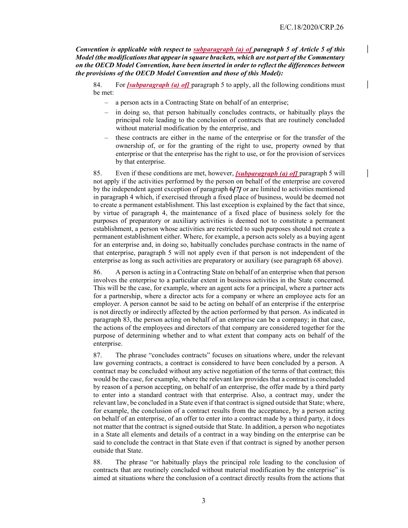$\overline{\phantom{a}}$ 

 $\overline{\phantom{a}}$ 

Convention is applicable with respect to subparagraph (a) of paragraph 5 of Article 5 of this Model (the modifications that appear in square brackets, which are not part of the Commentary on the OECD Model Convention, have been inserted in order to reflect the differences between the provisions of the OECD Model Convention and those of this Model):

84. For *[subparagraph (a) of]* paragraph 5 to apply, all the following conditions must be met:

- a person acts in a Contracting State on behalf of an enterprise;
- in doing so, that person habitually concludes contracts, or habitually plays the principal role leading to the conclusion of contracts that are routinely concluded without material modification by the enterprise, and
- these contracts are either in the name of the enterprise or for the transfer of the ownership of, or for the granting of the right to use, property owned by that enterprise or that the enterprise has the right to use, or for the provision of services by that enterprise.

85. Even if these conditions are met, however, *[subparagraph (a) of]* paragraph 5 will not apply if the activities performed by the person on behalf of the enterprise are covered by the independent agent exception of paragraph 6[7] or are limited to activities mentioned in paragraph 4 which, if exercised through a fixed place of business, would be deemed not to create a permanent establishment. This last exception is explained by the fact that since, by virtue of paragraph 4, the maintenance of a fixed place of business solely for the purposes of preparatory or auxiliary activities is deemed not to constitute a permanent establishment, a person whose activities are restricted to such purposes should not create a permanent establishment either. Where, for example, a person acts solely as a buying agent for an enterprise and, in doing so, habitually concludes purchase contracts in the name of that enterprise, paragraph 5 will not apply even if that person is not independent of the enterprise as long as such activities are preparatory or auxiliary (see paragraph 68 above).

86. A person is acting in a Contracting State on behalf of an enterprise when that person involves the enterprise to a particular extent in business activities in the State concerned. This will be the case, for example, where an agent acts for a principal, where a partner acts for a partnership, where a director acts for a company or where an employee acts for an employer. A person cannot be said to be acting on behalf of an enterprise if the enterprise is not directly or indirectly affected by the action performed by that person. As indicated in paragraph 83, the person acting on behalf of an enterprise can be a company; in that case, the actions of the employees and directors of that company are considered together for the purpose of determining whether and to what extent that company acts on behalf of the enterprise.

87. The phrase "concludes contracts" focuses on situations where, under the relevant law governing contracts, a contract is considered to have been concluded by a person. A contract may be concluded without any active negotiation of the terms of that contract; this would be the case, for example, where the relevant law provides that a contract is concluded by reason of a person accepting, on behalf of an enterprise, the offer made by a third party to enter into a standard contract with that enterprise. Also, a contract may, under the relevant law, be concluded in a State even if that contract is signed outside that State; where, for example, the conclusion of a contract results from the acceptance, by a person acting on behalf of an enterprise, of an offer to enter into a contract made by a third party, it does not matter that the contract is signed outside that State. In addition, a person who negotiates in a State all elements and details of a contract in a way binding on the enterprise can be said to conclude the contract in that State even if that contract is signed by another person outside that State.

88. The phrase "or habitually plays the principal role leading to the conclusion of contracts that are routinely concluded without material modification by the enterprise" is aimed at situations where the conclusion of a contract directly results from the actions that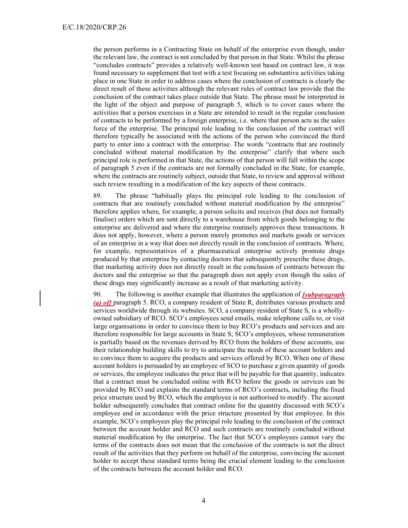the person performs in a Contracting State on behalf of the enterprise even though, under the relevant law, the contract is not concluded by that person in that State. Whilst the phrase "concludes contracts" provides a relatively well-known test based on contract law, it was found necessary to supplement that test with a test focusing on substantive activities taking place in one State in order to address cases where the conclusion of contracts is clearly the direct result of these activities although the relevant rules of contract law provide that the conclusion of the contract takes place outside that State. The phrase must be interpreted in the light of the object and purpose of paragraph 5, which is to cover cases where the activities that a person exercises in a State are intended to result in the regular conclusion of contracts to be performed by a foreign enterprise, i.e. where that person acts as the sales force of the enterprise. The principal role leading to the conclusion of the contract will therefore typically be associated with the actions of the person who convinced the third party to enter into a contract with the enterprise. The words "contracts that are routinely concluded without material modification by the enterprise" clarify that where such principal role is performed in that State, the actions of that person will fall within the scope of paragraph 5 even if the contracts are not formally concluded in the State, for example, where the contracts are routinely subject, outside that State, to review and approval without such review resulting in a modification of the key aspects of these contracts.

89. The phrase "habitually plays the principal role leading to the conclusion of contracts that are routinely concluded without material modification by the enterprise" therefore applies where, for example, a person solicits and receives (but does not formally finalise) orders which are sent directly to a warehouse from which goods belonging to the enterprise are delivered and where the enterprise routinely approves these transactions. It does not apply, however, where a person merely promotes and markets goods or services of an enterprise in a way that does not directly result in the conclusion of contracts. Where, for example, representatives of a pharmaceutical enterprise actively promote drugs produced by that enterprise by contacting doctors that subsequently prescribe these drugs, that marketing activity does not directly result in the conclusion of contracts between the doctors and the enterprise so that the paragraph does not apply even though the sales of these drugs may significantly increase as a result of that marketing activity.

90. The following is another example that illustrates the application of  $\int$ subparagraph (a) off paragraph 5. RCO, a company resident of State R, distributes various products and services worldwide through its websites. SCO, a company resident of State S, is a whollyowned subsidiary of RCO. SCO's employees send emails, make telephone calls to, or visit large organisations in order to convince them to buy RCO's products and services and are therefore responsible for large accounts in State S; SCO's employees, whose remuneration is partially based on the revenues derived by RCO from the holders of these accounts, use their relationship building skills to try to anticipate the needs of these account holders and to convince them to acquire the products and services offered by RCO. When one of these account holders is persuaded by an employee of SCO to purchase a given quantity of goods or services, the employee indicates the price that will be payable for that quantity, indicates that a contract must be concluded online with RCO before the goods or services can be provided by RCO and explains the standard terms of RCO's contracts, including the fixed price structure used by RCO, which the employee is not authorised to modify. The account holder subsequently concludes that contract online for the quantity discussed with SCO's employee and in accordance with the price structure presented by that employee. In this example, SCO's employees play the principal role leading to the conclusion of the contract between the account holder and RCO and such contracts are routinely concluded without material modification by the enterprise. The fact that SCO's employees cannot vary the terms of the contracts does not mean that the conclusion of the contracts is not the direct result of the activities that they perform on behalf of the enterprise, convincing the account holder to accept these standard terms being the crucial element leading to the conclusion of the contracts between the account holder and RCO.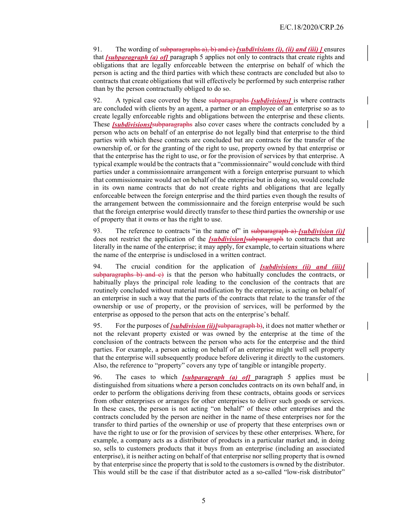91. The wording of subparagraphs a), b) and  $\epsilon$ ) [subdivisions (i), (ii) and (iii) ] ensures that  $\int$ *subparagraph* (a) of paragraph 5 applies not only to contracts that create rights and obligations that are legally enforceable between the enterprise on behalf of which the person is acting and the third parties with which these contracts are concluded but also to contracts that create obligations that will effectively be performed by such enterprise rather than by the person contractually obliged to do so.

92. A typical case covered by these subparagraphs  $\mathit{subdivisions}$  is where contracts are concluded with clients by an agent, a partner or an employee of an enterprise so as to create legally enforceable rights and obligations between the enterprise and these clients. These *[subdivisions]* subparagraphs also cover cases where the contracts concluded by a person who acts on behalf of an enterprise do not legally bind that enterprise to the third parties with which these contracts are concluded but are contracts for the transfer of the ownership of, or for the granting of the right to use, property owned by that enterprise or that the enterprise has the right to use, or for the provision of services by that enterprise. A typical example would be the contracts that a "commissionnaire" would conclude with third parties under a commissionnaire arrangement with a foreign enterprise pursuant to which that commissionnaire would act on behalf of the enterprise but in doing so, would conclude in its own name contracts that do not create rights and obligations that are legally enforceable between the foreign enterprise and the third parties even though the results of the arrangement between the commissionnaire and the foreign enterprise would be such that the foreign enterprise would directly transfer to these third parties the ownership or use of property that it owns or has the right to use.

93. The reference to contracts "in the name of" in  $subparam$  a) [subdivision (i)] does not restrict the application of the *[subdivision]*subparagraph to contracts that are literally in the name of the enterprise; it may apply, for example, to certain situations where the name of the enterprise is undisclosed in a written contract.

94. The crucial condition for the application of *[subdivisions (ii) and (iii)]*  $subparameters$  b) and  $\rightarrow$  is that the person who habitually concludes the contracts, or habitually plays the principal role leading to the conclusion of the contracts that are routinely concluded without material modification by the enterprise, is acting on behalf of an enterprise in such a way that the parts of the contracts that relate to the transfer of the ownership or use of property, or the provision of services, will be performed by the enterprise as opposed to the person that acts on the enterprise's behalf.

95. For the purposes of *[subdivision (ii)]* subparagraph  $\theta$ , it does not matter whether or not the relevant property existed or was owned by the enterprise at the time of the conclusion of the contracts between the person who acts for the enterprise and the third parties. For example, a person acting on behalf of an enterprise might well sell property that the enterprise will subsequently produce before delivering it directly to the customers. Also, the reference to "property" covers any type of tangible or intangible property.

96. The cases to which *[subparagraph (a) of]* paragraph 5 applies must be distinguished from situations where a person concludes contracts on its own behalf and, in order to perform the obligations deriving from these contracts, obtains goods or services from other enterprises or arranges for other enterprises to deliver such goods or services. In these cases, the person is not acting "on behalf" of these other enterprises and the contracts concluded by the person are neither in the name of these enterprises nor for the transfer to third parties of the ownership or use of property that these enterprises own or have the right to use or for the provision of services by these other enterprises. Where, for example, a company acts as a distributor of products in a particular market and, in doing so, sells to customers products that it buys from an enterprise (including an associated enterprise), it is neither acting on behalf of that enterprise nor selling property that is owned by that enterprise since the property that is sold to the customers is owned by the distributor. This would still be the case if that distributor acted as a so-called "low-risk distributor"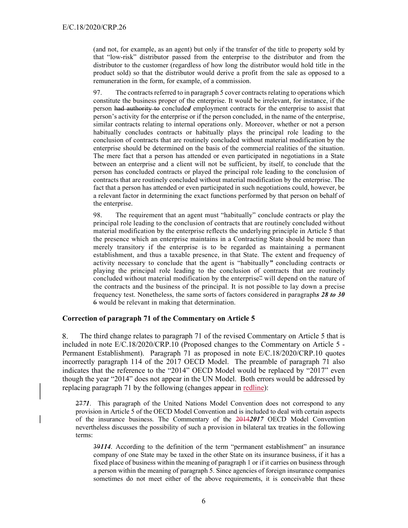(and not, for example, as an agent) but only if the transfer of the title to property sold by that "low-risk" distributor passed from the enterprise to the distributor and from the distributor to the customer (regardless of how long the distributor would hold title in the product sold) so that the distributor would derive a profit from the sale as opposed to a remuneration in the form, for example, of a commission.

97. The contracts referred to in paragraph 5 cover contracts relating to operations which constitute the business proper of the enterprise. It would be irrelevant, for instance, if the person had authority to concluded employment contracts for the enterprise to assist that person's activity for the enterprise or if the person concluded, in the name of the enterprise, similar contracts relating to internal operations only. Moreover, whether or not a person habitually concludes contracts or habitually plays the principal role leading to the conclusion of contracts that are routinely concluded without material modification by the enterprise should be determined on the basis of the commercial realities of the situation. The mere fact that a person has attended or even participated in negotiations in a State between an enterprise and a client will not be sufficient, by itself, to conclude that the person has concluded contracts or played the principal role leading to the conclusion of contracts that are routinely concluded without material modification by the enterprise. The fact that a person has attended or even participated in such negotiations could, however, be a relevant factor in determining the exact functions performed by that person on behalf of the enterprise.

98. The requirement that an agent must "habitually" conclude contracts or play the principal role leading to the conclusion of contracts that are routinely concluded without material modification by the enterprise reflects the underlying principle in Article 5 that the presence which an enterprise maintains in a Contracting State should be more than merely transitory if the enterprise is to be regarded as maintaining a permanent establishment, and thus a taxable presence, in that State. The extent and frequency of activity necessary to conclude that the agent is "habitually" concluding contracts or playing the principal role leading to the conclusion of contracts that are routinely concluded without material modification by the enterprise<sup>2</sup> will depend on the nature of the contracts and the business of the principal. It is not possible to lay down a precise frequency test. Nonetheless, the same sorts of factors considered in paragraphs 28 to 30 6 would be relevant in making that determination.

#### Correction of paragraph 71 of the Commentary on Article 5

The third change relates to paragraph 71 of the revised Commentary on Article 5 that is 8. included in note E/C.18/2020/CRP.10 (Proposed changes to the Commentary on Article 5 - Permanent Establishment). Paragraph 71 as proposed in note E/C.18/2020/CRP.10 quotes incorrectly paragraph 114 of the 2017 OECD Model. The preamble of paragraph 71 also indicates that the reference to the "2014" OECD Model would be replaced by "2017" even though the year "2014" does not appear in the UN Model. Both errors would be addressed by replacing paragraph 71 by the following (changes appear in redline):

2771. This paragraph of the United Nations Model Convention does not correspond to any provision in Article 5 of the OECD Model Convention and is included to deal with certain aspects of the insurance business. The Commentary of the 20142017 OECD Model Convention nevertheless discusses the possibility of such a provision in bilateral tax treaties in the following terms:

39114. According to the definition of the term "permanent establishment" an insurance company of one State may be taxed in the other State on its insurance business, if it has a fixed place of business within the meaning of paragraph 1 or if it carries on business through a person within the meaning of paragraph 5. Since agencies of foreign insurance companies sometimes do not meet either of the above requirements, it is conceivable that these